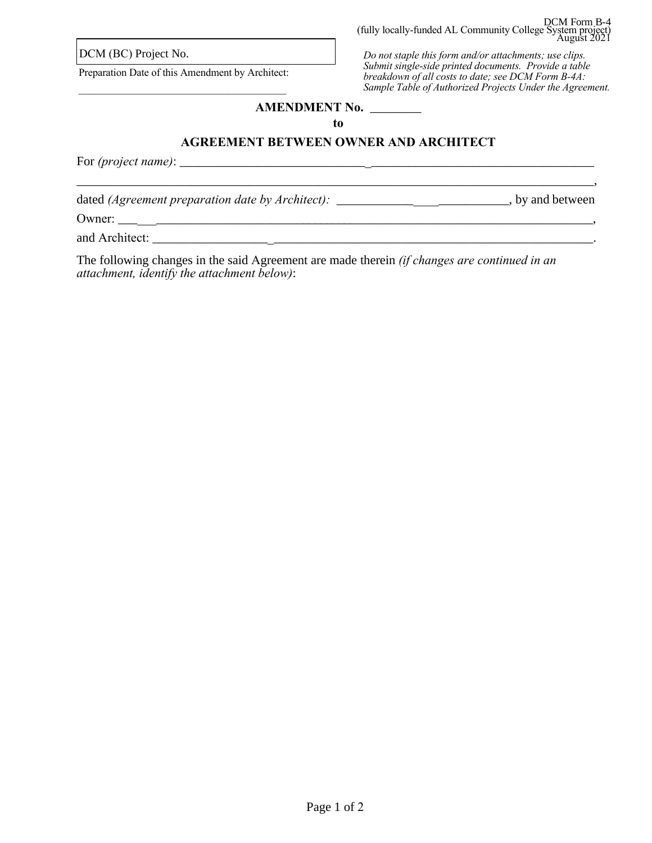DCM (BC) Project No.

\_\_\_\_\_\_\_\_\_\_\_\_\_\_\_\_\_\_\_\_\_\_\_\_\_\_\_\_\_\_\_\_\_\_\_\_\_\_\_

*Do not staple this form and/or attachments; use clips. Submit single-side printed documents. Provide a table breakdown of all costs to date; see DCM Form B-4A: Sample Table of Authorized Projects Under the Agreement.*

## **AMENDMENT No.** \_\_\_\_\_\_\_\_

**to** 

## **AGREEMENT BETWEEN OWNER AND ARCHITECT**

For *(project name)*: \_\_\_\_\_\_\_\_\_\_\_\_\_\_\_\_\_\_\_\_\_\_\_\_\_\_\_\_\_\_\_\_\_\_\_\_\_\_\_\_\_\_\_\_\_\_\_\_\_\_\_\_\_\_\_\_\_\_\_\_\_\_\_\_\_

\_\_\_\_\_\_\_\_\_\_\_\_\_\_\_\_\_\_\_\_\_\_\_\_\_\_\_\_\_\_\_\_\_\_\_\_\_\_\_\_\_\_\_\_\_\_\_\_\_\_\_\_\_\_\_\_\_\_\_\_\_\_\_\_\_\_\_\_\_\_\_\_\_\_\_\_\_\_\_\_\_, dated (Agreement preparation date by Architect): \_\_\_\_\_\_\_\_\_\_\_\_\_\_\_\_\_\_\_\_\_\_\_\_\_\_\_, by and between

Owner: \_\_\_\_\_\_\_\_\_\_\_\_\_\_\_\_\_\_\_\_\_\_\_\_\_\_\_\_\_\_\_\_\_\_\_\_\_\_\_\_\_\_\_\_\_\_\_\_\_\_\_\_\_\_\_\_\_\_\_\_\_\_\_\_\_\_\_\_\_\_\_\_\_\_\_,

and Architect: \_\_\_\_\_\_\_\_\_\_\_\_\_\_\_\_\_\_\_\_\_\_\_\_\_\_\_\_\_\_\_\_\_\_\_\_\_\_\_\_\_\_\_\_\_\_\_\_\_\_\_\_\_\_\_\_\_\_\_\_\_\_\_\_\_\_\_\_\_.

The following changes in the said Agreement are made therein *(if changes are continued in an attachment, identify the attachment below)*: